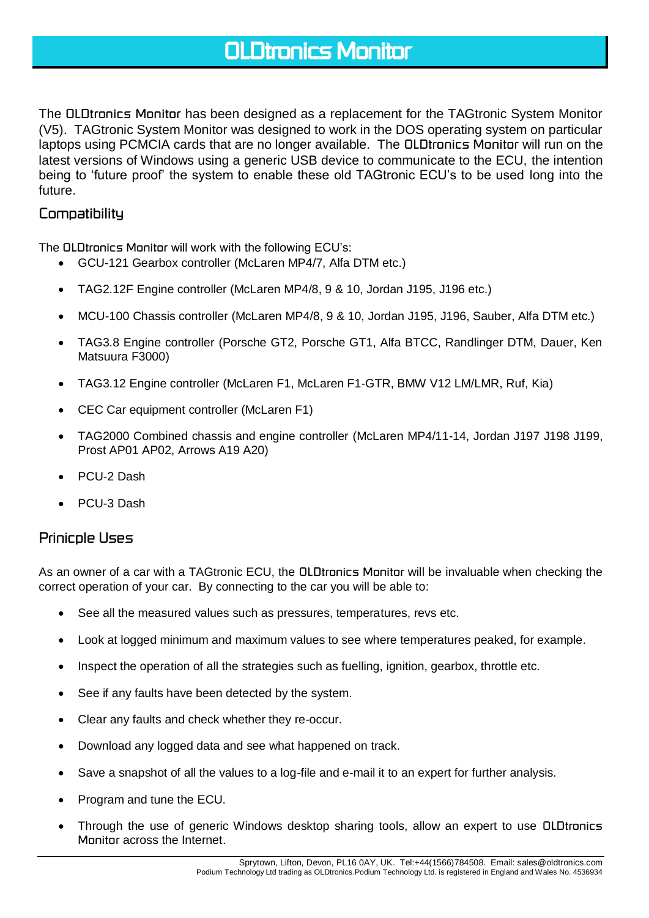# *OLDtronics Monitor*

The *OLDtronics Monitor* has been designed as a replacement for the TAGtronic System Monitor (V5). TAGtronic System Monitor was designed to work in the DOS operating system on particular laptops using PCMCIA cards that are no longer available. The *OLDtronics Monitor* will run on the latest versions of Windows using a generic USB device to communicate to the ECU, the intention being to 'future proof' the system to enable these old TAGtronic ECU's to be used long into the future.

### *Compatibility*

The *OLDtronics Monitor* will work with the following ECU's:

- GCU-121 Gearbox controller (McLaren MP4/7, Alfa DTM etc.)
- TAG2.12F Engine controller (McLaren MP4/8, 9 & 10, Jordan J195, J196 etc.)
- MCU-100 Chassis controller (McLaren MP4/8, 9 & 10, Jordan J195, J196, Sauber, Alfa DTM etc.)
- TAG3.8 Engine controller (Porsche GT2, Porsche GT1, Alfa BTCC, Randlinger DTM, Dauer, Ken Matsuura F3000)
- TAG3.12 Engine controller (McLaren F1, McLaren F1-GTR, BMW V12 LM/LMR, Ruf, Kia)
- CEC Car equipment controller (McLaren F1)
- TAG2000 Combined chassis and engine controller (McLaren MP4/11-14, Jordan J197 J198 J199, Prost AP01 AP02, Arrows A19 A20)
- PCU-2 Dash
- PCU-3 Dash

### *Prinicple Uses*

As an owner of a car with a TAGtronic ECU, the *OLDtronics Monitor* will be invaluable when checking the correct operation of your car. By connecting to the car you will be able to:

- See all the measured values such as pressures, temperatures, revs etc.
- Look at logged minimum and maximum values to see where temperatures peaked, for example.
- Inspect the operation of all the strategies such as fuelling, ignition, gearbox, throttle etc.
- See if any faults have been detected by the system.
- Clear any faults and check whether they re-occur.
- Download any logged data and see what happened on track.
- Save a snapshot of all the values to a log-file and e-mail it to an expert for further analysis.
- Program and tune the ECU.
- Through the use of generic Windows desktop sharing tools, allow an expert to use *OLDtronics Monitor* across the Internet.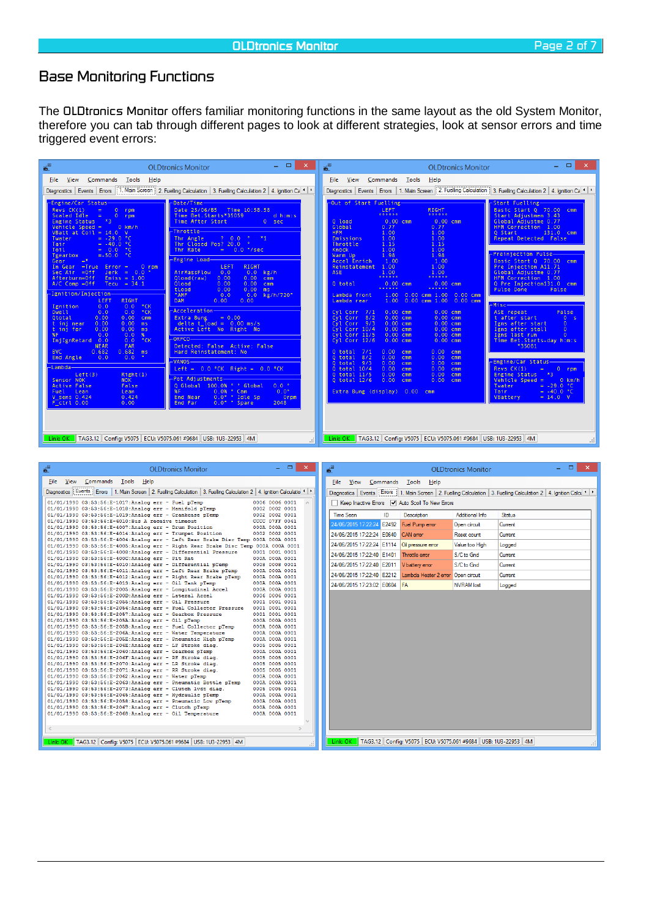# *Base Monitoring Functions*

The *OLDtronics Monitor* offers familiar monitoring functions in the same layout as the old System Monitor, therefore you can tab through different pages to look at different strategies, look at sensor errors and time triggered event errors:

| $\mathbf{s}^{\mathrm{m}}$                                                                                                                                                                                                                                                                                                                                                                                                                                                                                                                                                                                                                                                                                                                                                                                                                                                                                                                                                                                                                                                                                                                                                                                                                                                                                                                         | <b>OLDtronics Monitor</b>                                                                                                                                                                                                                                                                                                                                                                                                                                                                                                                                                                                                                                                                                                                                                                                                                                            | - - -<br>$\propto$<br>¥ª                                                                                                                                                                                                                                                                                                                                                                                                                       |                                                                                                                                                                                                                                                                                                                                                                                                                                                                                  | <b>OLDtronics Monitor</b>                                                                                                                                                                                                                                                                                                                                                                             | - - -<br>$\propto$                                                                                                                                                                                                                                                                                                                                                                                                                                                                                                                                                                                                                                                                                                                                       |
|---------------------------------------------------------------------------------------------------------------------------------------------------------------------------------------------------------------------------------------------------------------------------------------------------------------------------------------------------------------------------------------------------------------------------------------------------------------------------------------------------------------------------------------------------------------------------------------------------------------------------------------------------------------------------------------------------------------------------------------------------------------------------------------------------------------------------------------------------------------------------------------------------------------------------------------------------------------------------------------------------------------------------------------------------------------------------------------------------------------------------------------------------------------------------------------------------------------------------------------------------------------------------------------------------------------------------------------------------|----------------------------------------------------------------------------------------------------------------------------------------------------------------------------------------------------------------------------------------------------------------------------------------------------------------------------------------------------------------------------------------------------------------------------------------------------------------------------------------------------------------------------------------------------------------------------------------------------------------------------------------------------------------------------------------------------------------------------------------------------------------------------------------------------------------------------------------------------------------------|------------------------------------------------------------------------------------------------------------------------------------------------------------------------------------------------------------------------------------------------------------------------------------------------------------------------------------------------------------------------------------------------------------------------------------------------|----------------------------------------------------------------------------------------------------------------------------------------------------------------------------------------------------------------------------------------------------------------------------------------------------------------------------------------------------------------------------------------------------------------------------------------------------------------------------------|-------------------------------------------------------------------------------------------------------------------------------------------------------------------------------------------------------------------------------------------------------------------------------------------------------------------------------------------------------------------------------------------------------|----------------------------------------------------------------------------------------------------------------------------------------------------------------------------------------------------------------------------------------------------------------------------------------------------------------------------------------------------------------------------------------------------------------------------------------------------------------------------------------------------------------------------------------------------------------------------------------------------------------------------------------------------------------------------------------------------------------------------------------------------------|
| File View Commands Tools Help                                                                                                                                                                                                                                                                                                                                                                                                                                                                                                                                                                                                                                                                                                                                                                                                                                                                                                                                                                                                                                                                                                                                                                                                                                                                                                                     |                                                                                                                                                                                                                                                                                                                                                                                                                                                                                                                                                                                                                                                                                                                                                                                                                                                                      |                                                                                                                                                                                                                                                                                                                                                                                                                                                | File View Commands Tools Help                                                                                                                                                                                                                                                                                                                                                                                                                                                    |                                                                                                                                                                                                                                                                                                                                                                                                       |                                                                                                                                                                                                                                                                                                                                                                                                                                                                                                                                                                                                                                                                                                                                                          |
| Diagnostics Events Errors                                                                                                                                                                                                                                                                                                                                                                                                                                                                                                                                                                                                                                                                                                                                                                                                                                                                                                                                                                                                                                                                                                                                                                                                                                                                                                                         | 1. Main Screen   2. Fuelling Calculation   3. Fuelling Calculation 2   4. Ignition Ca +   +                                                                                                                                                                                                                                                                                                                                                                                                                                                                                                                                                                                                                                                                                                                                                                          |                                                                                                                                                                                                                                                                                                                                                                                                                                                |                                                                                                                                                                                                                                                                                                                                                                                                                                                                                  |                                                                                                                                                                                                                                                                                                                                                                                                       | Diagnostics   Events   Errors   1. Main Screen   2. Fuelling Calculation   3. Fuelling Calculation 2   4. Ignition Ca 1   1                                                                                                                                                                                                                                                                                                                                                                                                                                                                                                                                                                                                                              |
| -Engine/Car Status-<br>$Revs$ $CK(1)$<br>$\circ$<br>$\equiv$<br>rpm<br>Scaled Idle<br>$\equiv$<br>$\circ$<br>rpm<br>Engine Status *3<br>Vehicle Speed =<br>$0$ km/h<br>$V$ Batt at $\tilde{C}$ oil = 14.0<br>$\mathbf{v}$<br>$= -29.0 °C$<br>Twater<br>$= -40.0 °C$<br>Tair<br>$= 0.0$ °C<br>Toil<br><b>PC</b><br>$= -50.0$<br>Tgearbox<br>$= 1$<br>Gear<br>In Gear = True Error =<br>$0$ rpm<br>$Jerk = 0.0$<br>Sec $Air =Off$<br>Afterburn=Off<br>$Emiss = 1.00$<br>A/C Comp = Off<br>$Tecu = 34.1$<br>Ignition/Injection-<br>RIGHT<br>LEFT<br>0.0 °CK<br>Ignition<br>0.0<br>$\degree$ CK<br>0.0<br>0.0<br>Dwell1<br>0.00<br>0.00<br>Qtotal<br>cmm<br>0.00<br>0.00<br>t inj near<br>ms<br>t inj far<br>0.00<br>0.00<br>ms<br>0.0<br>0.0<br>$\%$<br>%F<br>0.0<br>$\degree$ CK<br>InjIgnRetard<br>0 <sub>0</sub><br><b>FAR</b><br><b>NEAR</b><br>BVC<br>0.682<br>0.682<br>ms<br>End Angle<br>0.0<br>0.0<br>-Lambda-<br>Left(3)<br>Right(1)<br>Sensor NOK<br><b>NOK</b><br><b>Active False</b><br>False<br>Fuel Lean<br>Lean<br>$V$ _sens $0.424$<br>0.424<br>$F_{c}$ ctrl 0.00<br>0.00                                                                                                                                                                                                                                                            | Date/Time<br>Date 25/06/85 Time 10:58.58<br>Time Bet. Starts*35059<br>$0 - sec$<br>Time After Start<br>Throttle-<br>? 0.0<br>$\bullet$<br>Thr Angle<br>$x_1$<br>$\sim$ 0 $\,$<br>Thr Closed Pos? 20.0<br>$= 0.0$ $\degree$ /sec<br>Thr Rate<br>Engine Load-<br>LEFT<br>RIGHT<br>AirMassFlow<br>0.0<br>0.0<br>kg/h<br>0.00<br>Qload(raw)<br>0.00<br><b>Cmm</b><br>Qload<br>0.00<br>0.00 cm m<br>0.00<br>$0.00$ ms<br>tLoad<br><b>AMF</b><br>0.0<br>0.0<br>0.00<br><b>DAM</b><br>0.00<br>Acceleration-<br>Extra Bung<br>$= 0.00$<br>delta t load = $0.00$ ms/s<br>Active Left No Right No<br>$ORFCO-$<br>Detected: False Active: False<br>Hard Reinstatement: No<br>VANOS-<br>Left = $0.0$ °CK Right = $0.0$ °CK<br>Pot Adiustments<br>· · Global<br>Q Global 100.0%<br>0.0% * Cam<br>0.0% * Cam<br>0.0° * Idle Sp<br>%F<br><b>End Near</b><br>0.0° * Spare<br>End Far | d, h:m:s<br>Q load<br>Global<br><b>HFM</b><br>Emissions<br>Throttle<br>Knock<br>Warm Up<br>Accel Enrich<br>Reinstatement<br><b>ASE</b><br>Q total<br>kg/h/720°<br>Lambda front<br>Lambda rear<br>Cyl Corr 7/1<br>Cyl Corr<br>$Cv1$ Corr $9/3$<br>Cyl Corr 10/4<br>$Cyl$ Corr $11/5$<br>Cyl Corr 12/6<br>Q total<br>Q total<br>Q total<br>$Q$ total $10/4$<br>Q total 11/5<br>Q total 12/6<br>$0.0$ $^{\circ}$<br>$0.0^{\circ}$<br>Orpm<br>2048 | Out of Start Fuelling<br><b>LEFT</b><br>0000000<br>0.00 cm <sub>m</sub><br>0.77<br>1.00<br>1.00<br>1.15<br>1.00<br>1.98<br>1.00<br>1.00<br>1.00<br>0.00 cmm<br>1.00<br>1.00<br>0.00 cm <sub>m</sub><br>8/2<br>0.00cm<br>0.00 cm <sub>m</sub><br>0.00 cm <sub>m</sub><br>0.00 cmm<br>0.00 cm <sub>m</sub><br>7/1<br>0.00<br>cm <sub>m</sub><br>0.00<br>8/2<br>cmm<br>9/3<br>0.00<br>cmm<br>0.00<br>cmm<br>0.00<br>cm <sub>m</sub><br>0.00<br>cmm<br>Extra Bung (display) 0.00 cmm | RIGHT<br>*******<br>0.00cm<br>0.77<br>1.00<br>1.00<br>1.15<br>1.00<br>1.98<br>1.00<br>1.00<br>1.00<br><br>0.00 cm m<br>0.00 cmm 1.00<br>0.00 cmm<br>0.00 cmm 1.00<br>0.00 cm<br>0.00 cmm<br>0.00 cm <sub>m</sub><br>0.00 cm m<br>0.00 cm <sub>m</sub><br>0.00cm<br>0.00 cm <sub>m</sub><br>0.00<br>cmm<br>0.00<br>cmm<br>0.00<br>cm <sub>m</sub><br>0.00<br>cmm<br>0.00 cm<br>0.00<br>cm <sub>m</sub> | Start Fuelling-<br>Basic Start Q 70.00 cmm<br>Start Adjustmen 3.43<br>Global Adjustme 0.77<br>HFM Correction 1.00<br>Q Start 131.0<br>cmm<br>Repeat Detected False<br>-Preinjection Pulse-<br>Basic Start Q 70.00 cmm<br>Pre Injection A11.71<br>Global Adjustme 0.77<br>HFM Correction 1.00<br>Q Pre Injection131.0 cmm<br>Pulse Done<br>False<br>-Misc-<br>ASE repeat<br>False<br>t after start<br>0 <sub>5</sub><br>Igns after start<br>$\Omega$<br>Igns after stall<br>$\circ$<br>Igns last run<br>$\circ$<br>Time Bet.Starts-day himis<br><b>*35081</b><br>-Engine/Car Status—<br>$Revs$ $CK(1)$<br>$\equiv$<br>$0$ rpm<br>Engine Status 3<br>$0$ km/h<br>Vehicle Speed =<br>$= -29.0$ °C<br>= -40.0 °C<br>Twater<br>Tair<br>$= 14.0 V$<br>VBattery |
| Link: OK   TAG3.12   Config: V5075   ECU: V5075.061 #9684   USB: 1U3-22953   4M                                                                                                                                                                                                                                                                                                                                                                                                                                                                                                                                                                                                                                                                                                                                                                                                                                                                                                                                                                                                                                                                                                                                                                                                                                                                   |                                                                                                                                                                                                                                                                                                                                                                                                                                                                                                                                                                                                                                                                                                                                                                                                                                                                      |                                                                                                                                                                                                                                                                                                                                                                                                                                                |                                                                                                                                                                                                                                                                                                                                                                                                                                                                                  | Link: OK   TAG3.12   Config: V5075   ECU: V5075.061 #9684   USB: 1U3-22953   4M                                                                                                                                                                                                                                                                                                                       |                                                                                                                                                                                                                                                                                                                                                                                                                                                                                                                                                                                                                                                                                                                                                          |
| $\boldsymbol{6}^{\square}$                                                                                                                                                                                                                                                                                                                                                                                                                                                                                                                                                                                                                                                                                                                                                                                                                                                                                                                                                                                                                                                                                                                                                                                                                                                                                                                        | <b>OLDtronics Monitor</b>                                                                                                                                                                                                                                                                                                                                                                                                                                                                                                                                                                                                                                                                                                                                                                                                                                            | $ -$<br>$\boldsymbol{\times}$<br>酱                                                                                                                                                                                                                                                                                                                                                                                                             |                                                                                                                                                                                                                                                                                                                                                                                                                                                                                  | <b>OLDtronics Monitor</b>                                                                                                                                                                                                                                                                                                                                                                             | $\Box$<br>$\boldsymbol{\times}$                                                                                                                                                                                                                                                                                                                                                                                                                                                                                                                                                                                                                                                                                                                          |
| File View Commands Tools Help                                                                                                                                                                                                                                                                                                                                                                                                                                                                                                                                                                                                                                                                                                                                                                                                                                                                                                                                                                                                                                                                                                                                                                                                                                                                                                                     |                                                                                                                                                                                                                                                                                                                                                                                                                                                                                                                                                                                                                                                                                                                                                                                                                                                                      |                                                                                                                                                                                                                                                                                                                                                                                                                                                | File View Commands Tools Help                                                                                                                                                                                                                                                                                                                                                                                                                                                    |                                                                                                                                                                                                                                                                                                                                                                                                       |                                                                                                                                                                                                                                                                                                                                                                                                                                                                                                                                                                                                                                                                                                                                                          |
| Diagnostics   Events   Errors   1. Main Screen   2. Fuelling Calculation   3. Fuelling Calculation 2   4. Ignition Calculatio 1   >                                                                                                                                                                                                                                                                                                                                                                                                                                                                                                                                                                                                                                                                                                                                                                                                                                                                                                                                                                                                                                                                                                                                                                                                               |                                                                                                                                                                                                                                                                                                                                                                                                                                                                                                                                                                                                                                                                                                                                                                                                                                                                      |                                                                                                                                                                                                                                                                                                                                                                                                                                                |                                                                                                                                                                                                                                                                                                                                                                                                                                                                                  |                                                                                                                                                                                                                                                                                                                                                                                                       | Diagnostics Events   Errors   1. Main Screen   2. Fuelling Calculation   3. Fuelling Calculation 2   4. Ignition Calcul 1   1                                                                                                                                                                                                                                                                                                                                                                                                                                                                                                                                                                                                                            |
| 01/01/1990 03:53:56:E-1017:Analog err - Fuel pTemp                                                                                                                                                                                                                                                                                                                                                                                                                                                                                                                                                                                                                                                                                                                                                                                                                                                                                                                                                                                                                                                                                                                                                                                                                                                                                                |                                                                                                                                                                                                                                                                                                                                                                                                                                                                                                                                                                                                                                                                                                                                                                                                                                                                      | 0006 0006 0001                                                                                                                                                                                                                                                                                                                                                                                                                                 | Keep Inactive Errors V Auto Scoll To New Errors                                                                                                                                                                                                                                                                                                                                                                                                                                  |                                                                                                                                                                                                                                                                                                                                                                                                       |                                                                                                                                                                                                                                                                                                                                                                                                                                                                                                                                                                                                                                                                                                                                                          |
| 01/01/1990 03:53:56:E-1018:Analog err - Manifold pTemp<br>01/01/1990 03:53:56:E-1019:Analog err - Crankcase pTemp                                                                                                                                                                                                                                                                                                                                                                                                                                                                                                                                                                                                                                                                                                                                                                                                                                                                                                                                                                                                                                                                                                                                                                                                                                 | 0002 0002 0001                                                                                                                                                                                                                                                                                                                                                                                                                                                                                                                                                                                                                                                                                                                                                                                                                                                       | 0002 0002 0001<br>Time Seen                                                                                                                                                                                                                                                                                                                                                                                                                    | ID<br>Description                                                                                                                                                                                                                                                                                                                                                                                                                                                                | Additional Info                                                                                                                                                                                                                                                                                                                                                                                       | <b>Status</b>                                                                                                                                                                                                                                                                                                                                                                                                                                                                                                                                                                                                                                                                                                                                            |
| 01/01/1990 03:53:56:E-6010:Bus A receive timeout<br>01/01/1990 03:53:56:E-4007:Analog err - Drum Position                                                                                                                                                                                                                                                                                                                                                                                                                                                                                                                                                                                                                                                                                                                                                                                                                                                                                                                                                                                                                                                                                                                                                                                                                                         | CCCC 07FF 0041                                                                                                                                                                                                                                                                                                                                                                                                                                                                                                                                                                                                                                                                                                                                                                                                                                                       | 000A 000A 0001                                                                                                                                                                                                                                                                                                                                                                                                                                 | 24/06/2015 17:22:24 E2492 Fuel Pump error                                                                                                                                                                                                                                                                                                                                                                                                                                        | Open circuit                                                                                                                                                                                                                                                                                                                                                                                          | Current                                                                                                                                                                                                                                                                                                                                                                                                                                                                                                                                                                                                                                                                                                                                                  |
| 01/01/1990 03:53:56:E-4014:Analog err - Trumpet Position<br>01/01/1990 03:53:56:E-4004:Analog err - Left Rear Brake Disc Temp 000A 000A 0001                                                                                                                                                                                                                                                                                                                                                                                                                                                                                                                                                                                                                                                                                                                                                                                                                                                                                                                                                                                                                                                                                                                                                                                                      | 0002 0002 0001                                                                                                                                                                                                                                                                                                                                                                                                                                                                                                                                                                                                                                                                                                                                                                                                                                                       |                                                                                                                                                                                                                                                                                                                                                                                                                                                | 24/06/2015 17:22:24 E0640<br>CAN error                                                                                                                                                                                                                                                                                                                                                                                                                                           | Reset count                                                                                                                                                                                                                                                                                                                                                                                           | Current                                                                                                                                                                                                                                                                                                                                                                                                                                                                                                                                                                                                                                                                                                                                                  |
| 01/01/1990 03:53:56:E-4005:Analog err - Right Rear Brake Disc Temp 000A 000A 0001                                                                                                                                                                                                                                                                                                                                                                                                                                                                                                                                                                                                                                                                                                                                                                                                                                                                                                                                                                                                                                                                                                                                                                                                                                                                 |                                                                                                                                                                                                                                                                                                                                                                                                                                                                                                                                                                                                                                                                                                                                                                                                                                                                      |                                                                                                                                                                                                                                                                                                                                                                                                                                                | 24/06/2015 17:22:24 E1114<br>Oil pressure error                                                                                                                                                                                                                                                                                                                                                                                                                                  | Value too High                                                                                                                                                                                                                                                                                                                                                                                        | Logged                                                                                                                                                                                                                                                                                                                                                                                                                                                                                                                                                                                                                                                                                                                                                   |
| 01/01/1990 03:53:56:E-4008:Analog err - Differential Pressure 0001 0001 0001<br>01/01/1990 03:53:56:E-400C:Analog err - Pit Rat                                                                                                                                                                                                                                                                                                                                                                                                                                                                                                                                                                                                                                                                                                                                                                                                                                                                                                                                                                                                                                                                                                                                                                                                                   |                                                                                                                                                                                                                                                                                                                                                                                                                                                                                                                                                                                                                                                                                                                                                                                                                                                                      | 000A 000A 0001                                                                                                                                                                                                                                                                                                                                                                                                                                 | 24/06/2015 17:22:40 E1401<br>Throttle error                                                                                                                                                                                                                                                                                                                                                                                                                                      | S/C to Gnd                                                                                                                                                                                                                                                                                                                                                                                            | Current                                                                                                                                                                                                                                                                                                                                                                                                                                                                                                                                                                                                                                                                                                                                                  |
| 01/01/1990 03:53:56:E-4010:Analog err - Differential pTemp<br>01/01/1990 03:53:56:E-4011:Analog err - Left Rear Brake pTemp                                                                                                                                                                                                                                                                                                                                                                                                                                                                                                                                                                                                                                                                                                                                                                                                                                                                                                                                                                                                                                                                                                                                                                                                                       | 0008 0008 0001<br>000A 000A 0001                                                                                                                                                                                                                                                                                                                                                                                                                                                                                                                                                                                                                                                                                                                                                                                                                                     |                                                                                                                                                                                                                                                                                                                                                                                                                                                | 24/06/2015 17:22:40 E2011<br>V battery error                                                                                                                                                                                                                                                                                                                                                                                                                                     | S/C to Gnd                                                                                                                                                                                                                                                                                                                                                                                            | Current                                                                                                                                                                                                                                                                                                                                                                                                                                                                                                                                                                                                                                                                                                                                                  |
| 01/01/1990 03:53:56:E-4012:Analog err - Right Rear Brake pTemp<br>01/01/1990 03:53:56:E-4013:Analog err - Oil Tank pTemp                                                                                                                                                                                                                                                                                                                                                                                                                                                                                                                                                                                                                                                                                                                                                                                                                                                                                                                                                                                                                                                                                                                                                                                                                          | 000A 000A 0001                                                                                                                                                                                                                                                                                                                                                                                                                                                                                                                                                                                                                                                                                                                                                                                                                                                       | 000A 000A 0001                                                                                                                                                                                                                                                                                                                                                                                                                                 | 24/06/2015 17:22:40 E2212<br>24/06/2015 17:23:02 E0604<br><b>FA</b>                                                                                                                                                                                                                                                                                                                                                                                                              | Lambda Heater 2 error Open circuit<br><b>NVRAM</b> lost                                                                                                                                                                                                                                                                                                                                               | Current<br>Logged                                                                                                                                                                                                                                                                                                                                                                                                                                                                                                                                                                                                                                                                                                                                        |
| 01/01/1990 03:53:56:E-2005:Analog err - Longitudinal Accel<br>01/01/1990 03:53:56:E-200D:Analog err - Lateral Accel<br>01/01/1990 03:53:56:E-2055:Analog err - Oil Pressure<br>01/01/1990 03:53:56:E-2056:Analog err - Fuel Collector Pressure 0001 0001 0001<br>$01/01/1990$ $03:53:56: E-2057:$ Analog err - Gearbox Pressure<br>01/01/1990 03:53:56:E-205A:Analog err - Oil pTemp<br>01/01/1990 03:53:56:E-205B:Analog err - Fuel Collector pTemp<br>01/01/1990 03:53:56:E-206A:Analog err - Water Temperature<br>01/01/1990 03:53:56:E-205E:Analog err - Pneumatic High pTemp<br>01/01/1990 03:53:56:E-206E:Analog err - LF Stroke diag.<br>01/01/1990 03:53:56:E-2060:Analog err - Gearbox pTemp<br>01/01/1990 03:53:56:E-206F:Analog err - RF Stroke diag.<br>01/01/1990 03:53:56:E-2070:Analog err - LR Stroke diag.<br>01/01/1990 03:53:56:E-2071:Analog err - RR Stroke diag.<br>01/01/1990 03:53:56:E-2062:Analog err - Water pTemp<br>01/01/1990 03:53:56:E-2063:Analog err - Pneumatic Bottle pTemp 000A 000A 0001<br>01/01/1990 03:53:56:E-2073:Analog err - Clutch lvdt diag.<br>01/01/1990 03:53:56:E-2065:Analog err - Hydraulic pTemp<br>01/01/1990 03:53:56:E-2058:Analog err - Pneumatic Low pTemp<br>01/01/1990 03:53:56:E-2067:Analog err - Clutch pTemp<br>01/01/1990 03:53:56:E-2068:Analog err - Oil Temperature<br>$\,<$ | 000A 000A 0001<br>0006 0006 0001<br>0001 0001 0001<br>0001 0001 0001<br>0005 0005 0001<br>0005 0005 0001<br>000A 000A 0001<br>0005 0005 0001<br>000A 000A 0001                                                                                                                                                                                                                                                                                                                                                                                                                                                                                                                                                                                                                                                                                                       | 000A 000A 0001<br>000A 000A 0001<br>000A 000A 0001<br>000A 000A 0001<br>0005 0005 0001<br>000A 000A 0001<br>0005 0005 0001<br>000A 000A 0001<br>000A 000A 0001<br>000A 000A 0001                                                                                                                                                                                                                                                               |                                                                                                                                                                                                                                                                                                                                                                                                                                                                                  | Link: OK   TAG3.12   Config: V5075   ECU: V5075.061 #9684   USB: 1U3-22953   4M                                                                                                                                                                                                                                                                                                                       |                                                                                                                                                                                                                                                                                                                                                                                                                                                                                                                                                                                                                                                                                                                                                          |
| Link: OK   TAG3.12   Config: V5075   ECU: V5075.061 #9684   USB: 1U3-22953   4M                                                                                                                                                                                                                                                                                                                                                                                                                                                                                                                                                                                                                                                                                                                                                                                                                                                                                                                                                                                                                                                                                                                                                                                                                                                                   |                                                                                                                                                                                                                                                                                                                                                                                                                                                                                                                                                                                                                                                                                                                                                                                                                                                                      |                                                                                                                                                                                                                                                                                                                                                                                                                                                |                                                                                                                                                                                                                                                                                                                                                                                                                                                                                  |                                                                                                                                                                                                                                                                                                                                                                                                       |                                                                                                                                                                                                                                                                                                                                                                                                                                                                                                                                                                                                                                                                                                                                                          |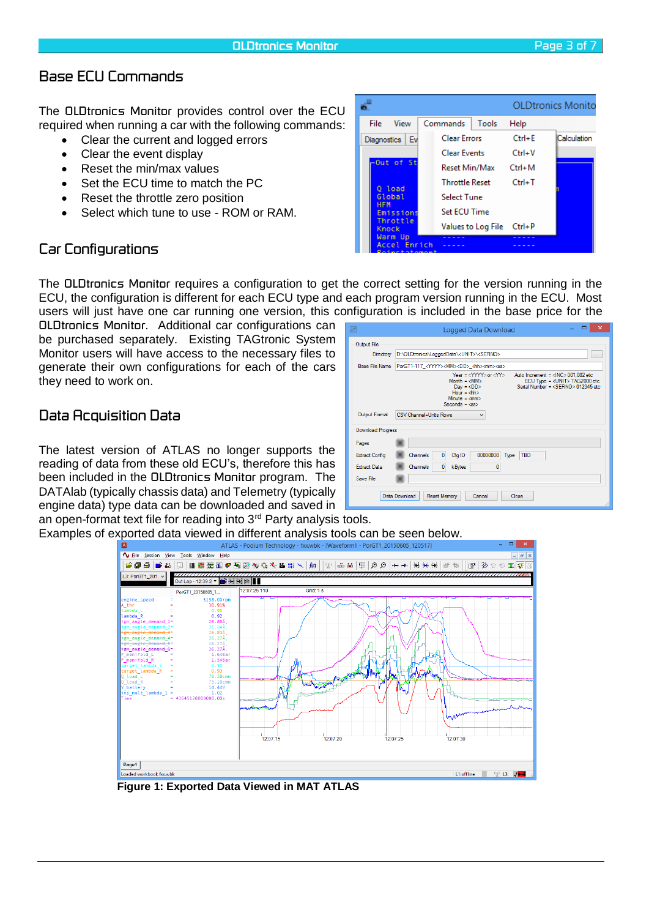# *Base ECU Commands*

The *OLDtronics Monitor* provides control over the ECU required when running a car with the following commands:

- Clear the current and logged errors
- Clear the event display
- Reset the min/max values
- Set the ECU time to match the PC
- Reset the throttle zero position
- Select which tune to use ROM or RAM.

|                                  |                           |            | <b>OLDtronics Monito</b> |
|----------------------------------|---------------------------|------------|--------------------------|
| <b>File</b><br>View              | Commands<br>Tools         | Help       |                          |
| Ev<br><b>Diagnostics</b>         | <b>Clear Errors</b>       | $Ctrl + E$ | Calculation              |
|                                  | <b>Clear Events</b>       | $Ctrl + V$ |                          |
| -Out of St                       | Reset Min/Max             | $Ctrl + M$ |                          |
| 0 load                           | <b>Throttle Reset</b>     | $Ctrl+T$   |                          |
| Global<br><b>HFM</b>             | <b>Select Tune</b>        |            |                          |
| Emissions                        | <b>Set ECU Time</b>       |            |                          |
| Throttle<br>Knock                | Values to Log File Ctrl+P |            |                          |
| Warm Up<br>Accel Enrich<br>----- |                           |            |                          |

### *Car Configurations*

The *OLDtronics Monitor* requires a configuration to get the correct setting for the version running in the ECU, the configuration is different for each ECU type and each program version running in the ECU. Most users will just have one car running one version, this configuration is included in the base price for the

*OLDtronics Monitor*. Additional car configurations can be purchased separately. Existing TAGtronic System Monitor users will have access to the necessary files to generate their own configurations for each of the cars they need to work on.

### *Data Acquisition Data*

The latest version of ATLAS no longer supports the reading of data from these old ECU's, therefore this has been included in the *OLDtronics Monitor* program. The DATAlab (typically chassis data) and Telemetry (typically engine data) type data can be downloaded and saved in an open-format text file for reading into 3<sup>rd</sup> Party analysis tools.

|                          | Logged Data Download                                                                                                                                                                                                                                                                                                                                                            |
|--------------------------|---------------------------------------------------------------------------------------------------------------------------------------------------------------------------------------------------------------------------------------------------------------------------------------------------------------------------------------------------------------------------------|
| Output File              |                                                                                                                                                                                                                                                                                                                                                                                 |
| Directory                | D:\OLDtronics\LoggedData\ <unit>\<serno><br/><math display="inline">\sim</math></serno></unit>                                                                                                                                                                                                                                                                                  |
| <b>Base File Name</b>    | PorGT1-117_ <yyyy><mm><dd>_<hh><mm><ss></ss></mm></hh></dd></mm></yyyy>                                                                                                                                                                                                                                                                                                         |
|                          | Year = $\langle$ YYYY> or $\langle$ YY><br>Auto Increment = <inc> 001,002 etc<br/><math>Month = cMMS</math><br/>ECU Type = <unit>TAG2000 etc<br/>Serial Number = <math>\langle</math>SERNO<math>&gt;</math>012345 etc.<br/><math>Day = <dd></dd></math><br/>Hour = <math>dh</math><br/><math>Minute = max</math><br/><math>Seconds = <s< math="">s&gt;</s<></math></unit></inc> |
| Output Format            | CSV Channel+Units Rows<br>$\checkmark$                                                                                                                                                                                                                                                                                                                                          |
| <b>Download Progress</b> |                                                                                                                                                                                                                                                                                                                                                                                 |
| Pages                    |                                                                                                                                                                                                                                                                                                                                                                                 |
| <b>Extract Config</b>    | $\bf{0}$<br>00000000<br>Cfg ID<br><b>TBD</b><br>Channels<br>Type                                                                                                                                                                                                                                                                                                                |
| <b>Extract Data</b>      | $\bf{0}$<br>$\overline{0}$<br>Channels<br>kBytes                                                                                                                                                                                                                                                                                                                                |
| Save File                |                                                                                                                                                                                                                                                                                                                                                                                 |
|                          | Data Download<br><b>Reset Memory</b><br>Cancel<br>Close<br>                                                                                                                                                                                                                                                                                                                     |

Examples of exported data viewed in different analysis tools can be seen below.<br>ATLAS - Podium Technology - fxx.wbk - [Waveform1 - PorGT1\_20150605\_120517]



**Figure 1: Exported Data Viewed in MAT ATLAS**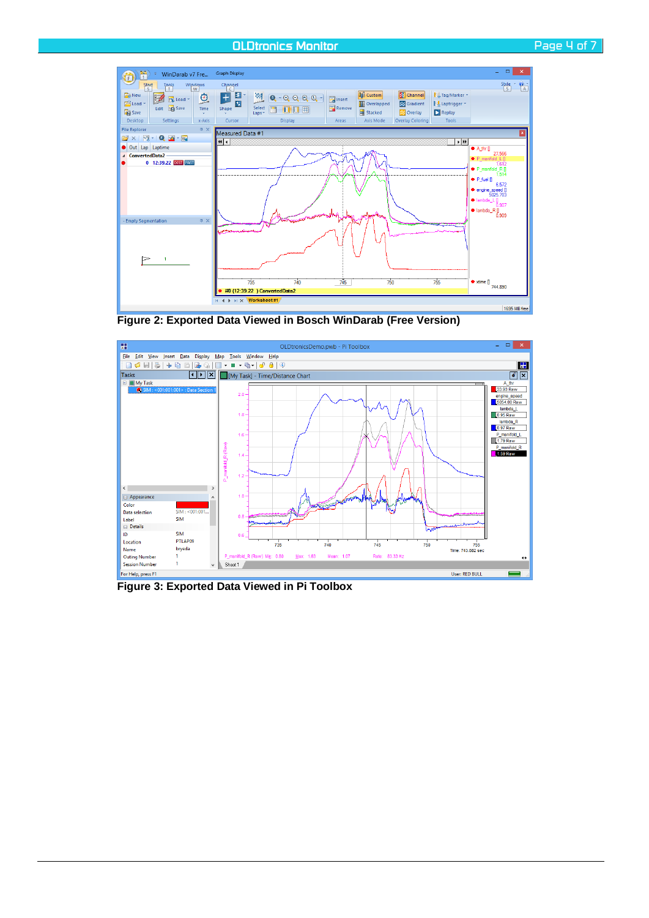#### *OLDtronics Monitor Page 4 of 7*





**Figure 2: Exported Data Viewed in Bosch WinDarab (Free Version)**



**Figure 3: Exported Data Viewed in Pi Toolbox**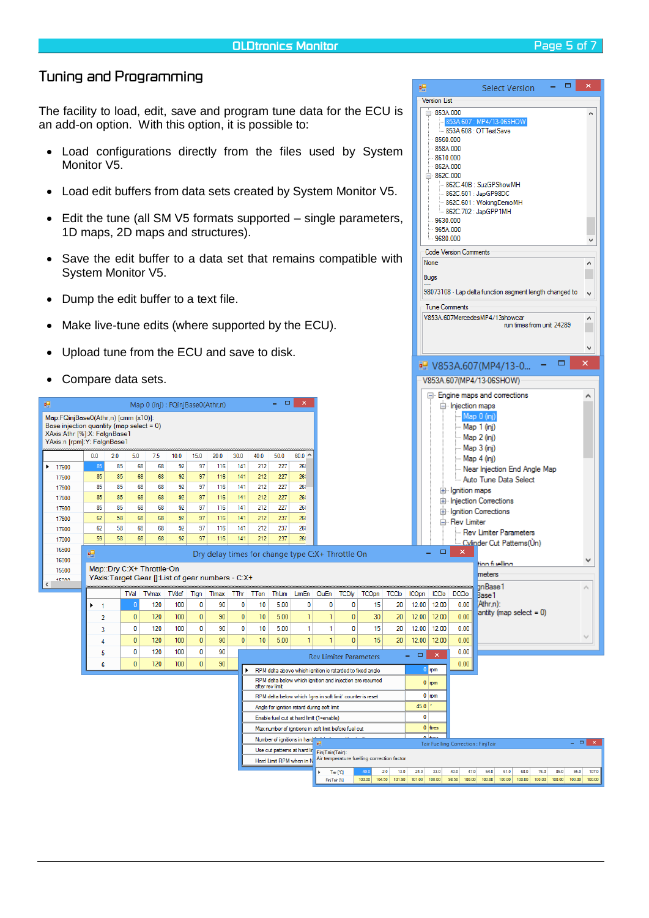# *Tuning and Programming*

The facility to load, edit, save and program tune data for the ECU is an add-on option. With this option, it is possible to:

- Load configurations directly from the files used by System Monitor V<sub>5</sub>.
- Load edit buffers from data sets created by System Monitor V5.
- Edit the tune (all SM V5 formats supported single parameters, 1D maps, 2D maps and structures).
- Save the edit buffer to a data set that remains compatible with System Monitor V5.
- Dump the edit buffer to a text file.
- Make live-tune edits (where supported by the ECU).
- Upload tune from the ECU and save to disk.
- Compare data sets.

| ٠                                                                                                                                              | Compare data sets. |     |              |                           |                                                    |              |       |      |                 |                            |                                                             |                         |                        |                                                           |                |                                     |                       |                                           | V853A.607(MP4/13-06SHOW)                                             |                                                  |
|------------------------------------------------------------------------------------------------------------------------------------------------|--------------------|-----|--------------|---------------------------|----------------------------------------------------|--------------|-------|------|-----------------|----------------------------|-------------------------------------------------------------|-------------------------|------------------------|-----------------------------------------------------------|----------------|-------------------------------------|-----------------------|-------------------------------------------|----------------------------------------------------------------------|--------------------------------------------------|
| 疅                                                                                                                                              |                    |     |              |                           | Map 0 (inj) : FQinjBase0(Athr,n)                   |              |       |      |                 | $\Box$<br>$\Delta \sim 10$ | $\mathbf{x}$                                                |                         |                        |                                                           |                |                                     |                       | injection maps                            | E- Engine maps and corrections                                       | ۸                                                |
| Map:FQinjBase0(Athr,n) [cmm (x10)]:<br>Base injection quantity (map select = 0)<br>XAxis:Athr [%]:X: FalgnBase1<br>YAxis:n [rpm]:Y: FalgnBase1 |                    |     |              |                           |                                                    |              |       |      |                 |                            |                                                             |                         |                        |                                                           |                |                                     |                       |                                           | Map 0 (inj<br>Map 1 (inj)<br>Map 2 (ini)<br>Map 3 (ini)              |                                                  |
|                                                                                                                                                | 0.0                | 2.0 | 5.0          | 7.5                       | 10.0                                               | 15.0         | 20.0  | 30.0 | 40.0            | 50.0                       | $60.0^{\circ}$                                              |                         |                        |                                                           |                |                                     |                       |                                           | Map 4 (ini)                                                          |                                                  |
| 17600<br>Þ.                                                                                                                                    | 85                 | 85  | 68           | 68                        | 92                                                 | 97           | 116   | 141  | 212             | 227                        | 26                                                          |                         |                        |                                                           |                |                                     |                       |                                           | "Near Injection End Angle Map                                        |                                                  |
| 17600                                                                                                                                          | 85                 | 85  | 68           | 68                        | 92                                                 | 97           | 116   | 141  | 212             | 227                        | 26                                                          |                         |                        |                                                           |                |                                     |                       |                                           | Auto Tune Data Select                                                |                                                  |
| 17600                                                                                                                                          | 85                 | 85  | 68           | 68                        | 92                                                 | 97           | 116   | 141  | 212             | 227                        | 26                                                          |                         |                        |                                                           |                |                                     |                       | E- Ignition maps                          |                                                                      |                                                  |
| 17600                                                                                                                                          | 85                 | 85  | 68           | 68                        | 92                                                 | 97           | 116   | 141  | 212             | 227                        | 26                                                          |                         |                        |                                                           |                |                                     |                       |                                           | E-Injection Corrections                                              |                                                  |
| 17600                                                                                                                                          | 85                 | 85  | 68           | 68                        | 92                                                 | 97           | 116   | 141  | 212             | 227                        | 261                                                         |                         |                        |                                                           |                |                                     |                       |                                           | E-Ignition Corrections                                               |                                                  |
| 17600                                                                                                                                          | 62                 | 58  | 68           | 68                        | 92                                                 | 97           | 116   | 141  | 212             | 237                        | 26                                                          |                         |                        |                                                           |                |                                     |                       | <b>E</b> Rev Limiter                      |                                                                      |                                                  |
| 17600                                                                                                                                          | 62                 | 58  | 68           | 68                        | 92                                                 | 97           | 116   | 141  | 212             | 237                        | 26                                                          |                         |                        |                                                           |                |                                     |                       |                                           | - Rev Limiter Parameters                                             |                                                  |
| 17000                                                                                                                                          | 59                 | 58  | 68           | 68                        | 92                                                 | 97           | 116   | 141  | 212             | 237                        | 26                                                          |                         |                        |                                                           |                |                                     |                       |                                           | <u> Minder Cut Pattems (Ùn </u>                                      |                                                  |
| 16500                                                                                                                                          | 疆                  |     |              |                           |                                                    |              |       |      |                 |                            | Dry delay times for change type C:X+ Throttle On            |                         |                        |                                                           |                |                                     | $\Box$<br>٠           | $\times$                                  |                                                                      |                                                  |
| 16000                                                                                                                                          |                    |     |              | Map::Dry C:X+ Throttle-On |                                                    |              |       |      |                 |                            |                                                             |                         |                        |                                                           |                |                                     |                       |                                           | tion fuelling                                                        | v                                                |
| 15500<br>tenna                                                                                                                                 |                    |     |              |                           | YAxis: Target Gear []: List of gear numbers - C:X+ |              |       |      |                 |                            |                                                             |                         |                        |                                                           |                |                                     |                       |                                           | meters                                                               |                                                  |
|                                                                                                                                                |                    |     |              |                           |                                                    |              |       |      |                 |                            |                                                             |                         |                        |                                                           |                |                                     |                       |                                           |                                                                      |                                                  |
|                                                                                                                                                |                    |     |              |                           |                                                    |              |       |      |                 |                            |                                                             |                         |                        |                                                           |                |                                     |                       |                                           | anBase 1                                                             | ۸                                                |
|                                                                                                                                                |                    |     | TVal         | <b>TVmax</b>              | <b>TVdef</b>                                       | Tign         | Timax | TThr | TTon            | ThLim                      | LimEn                                                       | CluEn                   | <b>TCD<sub>y</sub></b> | <b>TCOpn</b>                                              | <b>TCClo</b>   | <b>ICOpn</b>                        | <b>ICClo</b>          | <b>DCClo</b>                              | Base 1                                                               |                                                  |
|                                                                                                                                                | $\mathbf{1}$       |     | $\sqrt{ }$   | 120                       | 100                                                | 0            | 90    | 0    | 10              | 5.00                       | $\mathbf{0}$                                                | $\mathbf 0$             | 0                      | 15                                                        | 20             | 12.00                               | 12.00                 | 0.00                                      | (Athr.n):                                                            |                                                  |
|                                                                                                                                                | $\overline{2}$     |     | $\mathbf{0}$ | 120                       | 100                                                | $\mathbf{0}$ | 90    | 0    | 10              | 5.00                       | $\mathbf{1}$                                                | $\mathbf{1}$            | $\mathbf{0}$           | 30                                                        | 20             | 12.00                               | 12.00                 | 0.00                                      | antity (map select = $0$ )                                           |                                                  |
|                                                                                                                                                | 3                  |     | $\mathbf{0}$ | 120                       | 100                                                | 0            | 90    | 0    | 10              | 5.00                       | 1                                                           | $\mathbf{1}$            | 0                      | 15                                                        | 20             | 12.00                               | 12.00                 | 0.00                                      |                                                                      |                                                  |
|                                                                                                                                                | Δ                  |     | $\mathbf{0}$ | 120                       | 100                                                | $\mathbf{0}$ | 90    | 0    | 10              | 5.00                       | 1                                                           | $\mathbf{1}$            | $\mathbf{0}$           | 15                                                        | 20             | 12.00                               | 12.00                 | 0.00                                      |                                                                      |                                                  |
|                                                                                                                                                | 5                  |     | $\mathbf{0}$ | 120                       | 100                                                | 0            | 90    |      |                 |                            |                                                             |                         |                        |                                                           |                | $\Box$<br>÷                         | $\boldsymbol{\times}$ | 0.00                                      |                                                                      |                                                  |
|                                                                                                                                                | 6                  |     | $\bf{0}$     | 120                       | 100                                                | 0            | 90    |      |                 |                            |                                                             |                         |                        | <b>Rev Limiter Parameters</b>                             |                |                                     |                       | 0.00                                      |                                                                      |                                                  |
|                                                                                                                                                |                    |     |              |                           |                                                    |              |       |      |                 |                            |                                                             |                         |                        | RPM delta above which ignition is retarded to fixed angle |                |                                     | $0$ mm                |                                           |                                                                      |                                                  |
|                                                                                                                                                |                    |     |              |                           |                                                    |              |       |      | after rev limit |                            |                                                             |                         |                        | RPM delta below which ignition and injection are resumed  |                |                                     | $0 \mid \text{mm}$    |                                           |                                                                      |                                                  |
|                                                                                                                                                |                    |     |              |                           |                                                    |              |       |      |                 |                            | RPM delta below which 'igns in soft limit' counter is reset |                         |                        |                                                           |                |                                     | $0$ mm                |                                           |                                                                      |                                                  |
|                                                                                                                                                |                    |     |              |                           |                                                    |              |       |      |                 |                            | Angle for ignition retard during soft limit                 |                         |                        |                                                           |                | $45.0$                              |                       |                                           |                                                                      |                                                  |
|                                                                                                                                                |                    |     |              |                           |                                                    |              |       |      |                 |                            | Enable fuel cut at hard limit (1=enable)                    |                         |                        |                                                           |                | $\mathbf{0}$                        |                       |                                           |                                                                      |                                                  |
|                                                                                                                                                |                    |     |              |                           |                                                    |              |       |      |                 |                            | Max number of ignitions in soft limit before fuel cut       |                         |                        |                                                           |                |                                     | $0$ fires             |                                           |                                                                      |                                                  |
|                                                                                                                                                |                    |     |              |                           |                                                    |              |       |      |                 |                            | Number of ignitions in hard                                 | Eg                      |                        |                                                           |                |                                     |                       |                                           |                                                                      | $=$ $\Box$ $\times$                              |
|                                                                                                                                                |                    |     |              |                           |                                                    |              |       |      |                 |                            | Use cut patterns at hard lin                                | FinjTair(Tair):         |                        |                                                           |                |                                     |                       | <b>Tair Fuelling Correction: FinjTair</b> |                                                                      |                                                  |
|                                                                                                                                                |                    |     |              |                           |                                                    |              |       |      |                 |                            | Hard Limit RPM when in N                                    |                         |                        | Air temperature fuelling correction factor                |                |                                     |                       |                                           |                                                                      |                                                  |
|                                                                                                                                                |                    |     |              |                           |                                                    |              |       |      |                 |                            |                                                             | FinjTair <sup>[%]</sup> | Tair <sup>[C]</sup>    | 100.00                                                    | 13.0<br>$-2.0$ | 24.0<br>104.50 101.90 101.00 100.00 | 33.0                  | 40.0<br>47.0<br>98.50 100.00              | 54.0<br>61.0<br>68.0<br>76.0<br>100.00<br>100.00<br>100.00<br>100.00 | 107.0<br>85.0<br>95.0<br>100.00<br>100.00 100.00 |

 $\Box$ 

 $\lambda$ 

 $\lambda$ ۳

 $\ddot{\phantom{0}}$ 

 $\lambda$ 

П  $\ddot{\phantom{0}}$ 

Select Version

853A 608 : OTTestSave

-<br>-862C.40B : SuzGPShowMH 862C.501 : JapGP98DC 862C.601 : WokingDemoMH 862C.702 : JapGPP1MH

98073108 - Lap delta function segment length changed to

run times from unit 24289

 $\rightarrow$ 

 $\Box$ 

闸

Version List  $\frac{1}{10}$  853A 000

> 8560.000 858A.000 8610.000 862A.000  $-862C.000$

9630.000 965A 000 9680,000 Code Version Comments

Tune Comments

V853A.607MercedesMP4/13showcar

■ V853A.607(MP4/13-0...

None

Bugs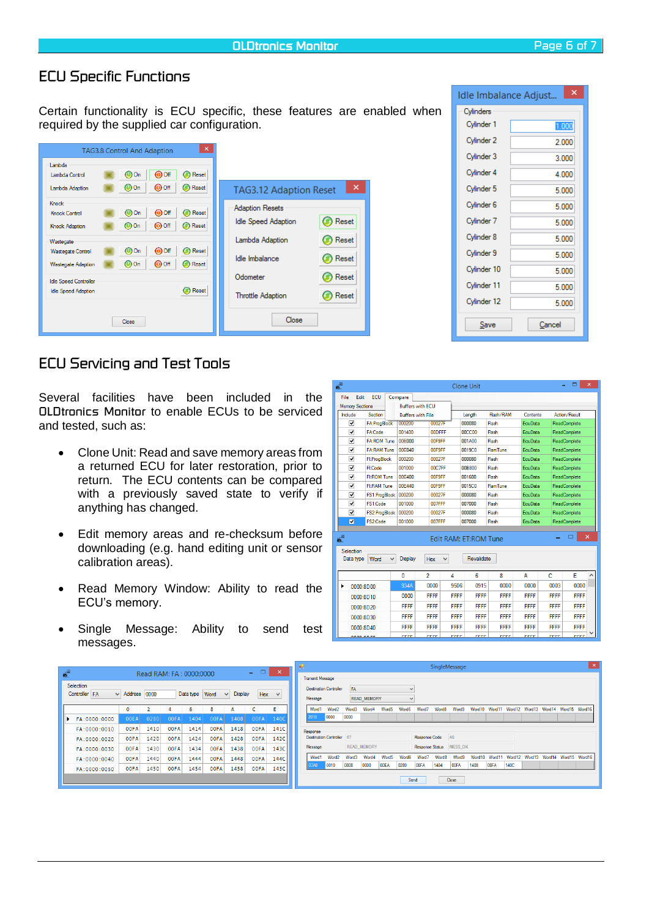### *ECU Specific Functions*

Certain functionality is ECU specific, these features are enabled when required by the supplied car configuration.

|                                                                                                                       | <b>TAG3.8 Control And Adaption</b>                                                                                                                                         | $\times$                                                                                  |                         |
|-----------------------------------------------------------------------------------------------------------------------|----------------------------------------------------------------------------------------------------------------------------------------------------------------------------|-------------------------------------------------------------------------------------------|-------------------------|
| Lambda<br>Lambda Control<br>Lambda Adaption                                                                           | $\bullet$ Off<br>Reset<br>$\bf{O}$ On<br>⊙<br>Reset<br>$\bf{O}$ On<br>$\bullet$ Off<br>⊙                                                                                   | <b>TAG3.12 Adaption Reset</b>                                                             | ×                       |
| Knock<br><b>Knock Control</b><br>Knock Adaption<br>Wastegate<br><b>Wastegate Control</b><br><b>Wastegate Adaption</b> | $\odot$ Off<br><b>Reset</b><br>$\omega$ on<br>Reset<br>$\bf{O}$ On<br>$\bullet$ Off<br>⊙<br>Off<br>Reset<br>$\omega$ on<br>◉<br>$\bullet$ Off<br>Reset<br>$\bf{O}$ On<br>ω | <b>Adaption Resets</b><br><b>Idle Speed Adaption</b><br>Lambda Adaption<br>Idle Imbalance | Reset<br>Reset<br>Reset |
| Idle Speed Controller<br><b>Idle Speed Adaption</b>                                                                   | <b>Reset</b><br>Close                                                                                                                                                      | Odometer<br>Throttle Adaption<br>Close                                                    | Reset<br>Reset          |

# *ECU Servicing and Test Tools*

Several facilities have been included in the *OLDtronics Monitor* to enable ECUs to be serviced and tested, such as:

- Clone Unit: Read and save memory areas from a returned ECU for later restoration, prior to return. The ECU contents can be compared with a previously saved state to verify if anything has changed.
- Edit memory areas and re-checksum before downloading (e.g. hand editing unit or sensor calibration areas).
- Read Memory Window: Ability to read the ECU's memory.
- Single Message: Ability to send test messages.

| 6                       |                                                                                                                            |                          |                |              | <b>Clone Unit</b> |                |                |             | □             | × |  |  |  |  |
|-------------------------|----------------------------------------------------------------------------------------------------------------------------|--------------------------|----------------|--------------|-------------------|----------------|----------------|-------------|---------------|---|--|--|--|--|
| File<br>Edit            | ECU                                                                                                                        | Compare                  |                |              |                   |                |                |             |               |   |  |  |  |  |
| <b>Memory Sections</b>  |                                                                                                                            | <b>Buffers with ECU</b>  |                |              |                   |                |                |             |               |   |  |  |  |  |
| Include                 | Section                                                                                                                    | <b>Buffers with File</b> |                |              | Length            | Flash/RAM      | Contents       |             | Action/Result |   |  |  |  |  |
| ⊽                       | FA:ProgBlock                                                                                                               | 000200                   | 00027F         |              | 000080            | Flash          | EcuData        |             | ReadComplete  |   |  |  |  |  |
| ⊽                       | FA:Code                                                                                                                    | 001400                   | <b>OODFFF</b>  |              | <b>00CC00</b>     | Flash          | EcuData        |             | ReadComplete  |   |  |  |  |  |
| ⊽                       | <b>FA:ROM Tune</b>                                                                                                         | 00E000                   | 00F9FF         |              | 001A00            | Flash          | EcuData        |             | ReadComplete  |   |  |  |  |  |
| ⊽                       | <b>FA:RAM Tune</b>                                                                                                         | 00E040                   | 00F9FF         |              | 0019C0            | <b>RamTune</b> | <b>EcuData</b> |             | ReadComplete  |   |  |  |  |  |
| $\overline{\mathbf{v}}$ | Fl:ProgBlock                                                                                                               | 000200                   | 00027F         |              | 000080            | Flash          | EcuData        |             | ReadComplete  |   |  |  |  |  |
| ⊽                       | <b>FI:Code</b>                                                                                                             | 001000                   | 00C7FF         |              | <b>00B800</b>     | Flash          | EcuData        |             | ReadComplete  |   |  |  |  |  |
| ⊽                       | <b>FI:ROM Tune</b>                                                                                                         | 00E400                   | 00F9FF         |              | 001600            | Flash          | <b>EcuData</b> |             | ReadComplete  |   |  |  |  |  |
| ⊽                       | FI:RAM Tune                                                                                                                | 00E440                   | 00F9FF         |              | 0015C0            | <b>RamTune</b> | EcuData        |             | ReadComplete  |   |  |  |  |  |
| ⊽                       |                                                                                                                            | FS1:ProgBlock 000200     | 00027F         |              | 000080            | Flash          | EcuData        |             | ReadComplete  |   |  |  |  |  |
| ⊽                       | FS1:Code                                                                                                                   | 001000                   | 007FFF         |              | 007000            | Flash          | EcuData        |             | ReadComplete  |   |  |  |  |  |
| $\overline{\mathbf{v}}$ | FS2:ProgBlock                                                                                                              | 000200                   | 00027F         |              | 000080            | Flash          | <b>EcuData</b> |             | ReadComplete  |   |  |  |  |  |
| ⊽                       | FS2:Code                                                                                                                   | 001000                   | 007FFF         |              | 007000            | Flash          | <b>EcuData</b> |             | ReadComplete  |   |  |  |  |  |
| ≝<br>Selection          | $\boldsymbol{\mathsf{x}}$<br>Edit RAM: ET:ROM Tune<br>Revalidate<br><b>Display</b><br>Data type<br>Word<br><b>Hex</b><br>v |                          |                |              |                   |                |                |             |               |   |  |  |  |  |
|                         |                                                                                                                            | $\mathbf{0}$             | $\overline{a}$ | 4            | 6                 | 8              | A              | C           | E             | ۸ |  |  |  |  |
| ▶                       | 0000:8000                                                                                                                  | 934A                     | 0000           | 9506         | 0915              | 0000           | 0000           | 0003        | 0000          |   |  |  |  |  |
|                         | 0000:8D10                                                                                                                  | 0000                     | FFFF           | <b>FFFF</b>  | <b>FFFF</b>       | <b>FFFF</b>    | <b>FFFF</b>    | <b>FFFF</b> | <b>FFFF</b>   |   |  |  |  |  |
|                         | 0000:8D20                                                                                                                  | <b>FFFF</b>              | FFFF           | <b>FFFF</b>  | <b>FFFF</b>       | <b>FFFF</b>    | <b>FFFF</b>    | FFFF        | <b>FFFF</b>   |   |  |  |  |  |
|                         | 0000:8D30                                                                                                                  | <b>FFFF</b>              | FFFF           | <b>FFFF</b>  | <b>FFFF</b>       | <b>FFFF</b>    | <b>FFFF</b>    | FFFF        | <b>FFFF</b>   |   |  |  |  |  |
|                         | 0000:8D40                                                                                                                  | FFFF                     | <b>FFFF</b>    | <b>FFFF</b>  | FFFF              | <b>FFFF</b>    | FFFF           | <b>FFFF</b> | FFFF          |   |  |  |  |  |
|                         | <b>MAAAAAAA</b>                                                                                                            | <b>CCCC</b>              | <u>rrne</u>    | <b>CECCH</b> | <b>CCCC</b>       | <b>CCCC</b>    | <b>CCCC.</b>   | <b>CCCC</b> | <u>rrrr</u>   |   |  |  |  |  |

|                                  |                     |                         |             |                |             |                   | $ -$        | $\mathsf{x}$ | 吧 |                         |                               |       |                    |                   |       |                   |                   | SingleMessage           |         |             |         |                    |                             |                      |  |
|----------------------------------|---------------------|-------------------------|-------------|----------------|-------------|-------------------|-------------|--------------|---|-------------------------|-------------------------------|-------|--------------------|-------------------|-------|-------------------|-------------------|-------------------------|---------|-------------|---------|--------------------|-----------------------------|----------------------|--|
| $\boldsymbol{\delta}^{\text{H}}$ |                     | Read RAM: FA: 0000:0000 |             |                |             |                   |             |              |   | <b>Transmit Message</b> |                               |       |                    |                   |       |                   |                   |                         |         |             |         |                    |                             |                      |  |
| Selection                        |                     |                         |             |                |             |                   |             |              |   |                         | <b>Destination Controller</b> | FA    |                    |                   |       |                   |                   |                         |         |             |         |                    |                             |                      |  |
| Controller FA                    | $\vee$ Address 0000 |                         |             | Data type Word |             | Display<br>$\vee$ | <b>Hex</b>  | $\checkmark$ |   | Message                 |                               |       | <b>READ MEMORY</b> |                   |       |                   |                   |                         |         |             |         |                    |                             |                      |  |
|                                  | $\circ$             |                         |             | 6.             | 8           |                   |             |              |   | Word1                   | Word2                         | Word3 | Word4              | Word <sub>5</sub> | Word6 | Word <sup>*</sup> | Word8             | Word9                   | Word10  | Word11      | Word 12 | Word <sub>13</sub> |                             | Word14 Word15 Word16 |  |
| FA: 0000: 0000                   | <b>OOEA</b>         | 0280                    | 00FA        | 1404           | 00FA        | 1408              | 00FA        | 140C         |   | 2010                    | 0000                          | 0000  |                    |                   |       |                   |                   |                         |         |             |         |                    |                             |                      |  |
| FA: 0000:0010                    | <b>OOFA</b>         | 1410                    | 00FA        | 1414           | <b>OOFA</b> | 1418              | 00FA        | 141C         |   | Response                |                               |       |                    |                   |       |                   |                   |                         |         |             |         |                    |                             |                      |  |
| FA: 0000: 0020                   | 00FA                | 1420                    | 00FA        | 1424           | 00FA        | 1428              | 00FA        | 142C         |   |                         | Destination Controller 07     |       |                    |                   |       | Response Code     |                   | A <sub>0</sub>          |         |             |         |                    |                             |                      |  |
| FA:0000:0030                     | <b>OOFA</b>         | 1430                    | <b>OOFA</b> | 1434           | <b>OOFA</b> | 1438              | <b>OOFA</b> | 143C         |   | Message                 |                               |       | <b>READ MEMORY</b> |                   |       |                   |                   | Response Status MESS OK |         |             |         |                    |                             |                      |  |
| FA: 0000: 0040                   | 00FA                | 1440                    | 00FA        | 1444           | 00FA        | 1448              | <b>OOFA</b> | 144C         |   | Word1                   | Word2                         | Word3 | Word4              | Word5             | Word6 | Word7             | Word <sub>8</sub> | Word9                   | Word 10 | Word11      | Word 12 |                    | Word13 Word14 Word15 Word16 |                      |  |
| FA: 0000:0050                    | <b>OOFA</b>         | 1450                    | <b>OOFA</b> | 1454           | <b>OOFA</b> | 1458              | 00FA        | 145C         |   | <b>J7A0</b>             | 0010                          | 0000  | 0000               | <b>OOEA</b>       | 0280  | 00FA              | 1404              | <b>OOFA</b>             | 1408    | <b>00FA</b> | 140C    |                    |                             |                      |  |
|                                  |                     |                         |             |                |             |                   |             |              |   |                         |                               |       |                    |                   | Send  |                   |                   | Close                   |         |             |         |                    |                             |                      |  |
|                                  |                     |                         |             |                |             |                   |             |              |   |                         |                               |       |                    |                   |       |                   |                   |                         |         |             |         |                    |                             |                      |  |

| ×<br>Idle Imbalance Adjust |        |  |  |  |  |  |  |  |  |  |
|----------------------------|--------|--|--|--|--|--|--|--|--|--|
| Cylinders                  |        |  |  |  |  |  |  |  |  |  |
| Cylinder 1                 | 1.000  |  |  |  |  |  |  |  |  |  |
| Cylinder 2                 | 2.000  |  |  |  |  |  |  |  |  |  |
| Cylinder 3                 | 3.000  |  |  |  |  |  |  |  |  |  |
| Cylinder 4                 | 4.000  |  |  |  |  |  |  |  |  |  |
| Cylinder 5                 | 5.000  |  |  |  |  |  |  |  |  |  |
| Cylinder 6                 | 5.000  |  |  |  |  |  |  |  |  |  |
| Cylinder 7                 | 5.000  |  |  |  |  |  |  |  |  |  |
| Cylinder 8                 | 5.000  |  |  |  |  |  |  |  |  |  |
| Cylinder 9                 | 5.000  |  |  |  |  |  |  |  |  |  |
| Cylinder 10                | 5.000  |  |  |  |  |  |  |  |  |  |
| Cylinder 11                | 5.000  |  |  |  |  |  |  |  |  |  |
| Cylinder 12                | 5.000  |  |  |  |  |  |  |  |  |  |
| Save                       | Cancel |  |  |  |  |  |  |  |  |  |

| <b>Memory Sections</b>  |                                                                                                               |                        | <b>Buffers with ECU</b>  |                |               |             |               |                |                |             |               |   |  |
|-------------------------|---------------------------------------------------------------------------------------------------------------|------------------------|--------------------------|----------------|---------------|-------------|---------------|----------------|----------------|-------------|---------------|---|--|
| Include                 | Section                                                                                                       |                        | <b>Buffers with File</b> |                |               |             | Length        | Flash/RAM      | Contents       |             | Action/Result |   |  |
| ⊽                       |                                                                                                               | FA:ProgBlock<br>000200 |                          |                | 00027F        |             | 000080        | Flash          | <b>EcuData</b> |             | ReadComplete  |   |  |
| ⊽                       | FA:Code                                                                                                       | 001400                 |                          |                | <b>OODFFF</b> |             | <b>00CC00</b> | Flash          | EcuData        |             | ReadComplete  |   |  |
| ⊽                       | <b>FA:ROM Tune</b>                                                                                            |                        | 00E000                   |                | 00F9FF        |             | 001A00        | Flash          | EcuData        |             | ReadComplete  |   |  |
| $\overline{\mathbf{v}}$ | <b>FA:RAM Tune</b>                                                                                            |                        | 00E040                   |                | 00F9FF        |             | 0019C0        | <b>RamTune</b> | <b>EcuData</b> |             | ReadComplete  |   |  |
| ⊽                       | Fl:ProgBlock                                                                                                  |                        | 000200                   |                | 00027F        |             | 000080        | Flash          | EcuData        |             | ReadComplete  |   |  |
| ⊽                       | FI:Code                                                                                                       |                        | 001000                   |                | 00C7FF        |             | <b>00B800</b> | Flash          | EcuData        |             | ReadComplete  |   |  |
| ⊽                       | <b>FI:ROM Tune</b>                                                                                            |                        | 00E400                   |                | 00F9FF        |             | 001600        | Flash          | <b>EcuData</b> |             | ReadComplete  |   |  |
| ⊽                       | FI:RAM Tune                                                                                                   |                        | 00E440                   |                | 00F9FF        |             | 0015C0        | <b>RamTune</b> | EcuData        |             | ReadComplete  |   |  |
| ⊽                       | FS1:ProgBlock                                                                                                 |                        | 000200                   |                | 00027F        |             | 000080        | Flash          | EcuData        |             | ReadComplete  |   |  |
| ⊽                       | FS1:Code                                                                                                      |                        | 001000                   |                | 007FFF        |             | 007000        | Flash          | EcuData        |             | ReadComplete  |   |  |
| ⊽                       | FS2:ProaBlock                                                                                                 |                        | 000200                   |                | 00027F        |             | 000080        | Flash          | EcuData        |             | ReadComplete  |   |  |
| Ø                       | FS2:Code                                                                                                      |                        | 001000                   |                | 007FFF        |             | 007000        | Flash          | <b>EcuData</b> |             | ReadComplete  |   |  |
| Selection               | $\mathsf{x}$<br>Edit RAM: ET:ROM Tune<br>Revalidate<br><b>Hex</b><br>Data type<br>Word<br><b>Display</b><br>v |                        |                          |                |               |             |               |                |                |             |               |   |  |
|                         |                                                                                                               |                        | $\mathbf{0}$             | $\overline{a}$ |               | 4           | 6             | 8              | A              | C           | E             | ∧ |  |
| ٠                       | 0000:8D00                                                                                                     |                        | 934A                     |                | 0000          | 9506        | 0915          | 0000           | 0000           | 0003        | 0000          |   |  |
|                         |                                                                                                               |                        | 0000                     |                | <b>FFFF</b>   | <b>FFFF</b> | <b>FFFF</b>   | <b>FFFF</b>    | <b>FFFF</b>    | FFFF        | FFFF          |   |  |
| 0000:8D10               |                                                                                                               |                        |                          |                |               |             |               |                | <b>FFFF</b>    | FFFF        | <b>FFFF</b>   |   |  |
|                         | 0000:8D20                                                                                                     |                        | <b>FFFF</b>              |                | FFFF          | <b>FFFF</b> | <b>FFFF</b>   | <b>FFFF</b>    |                |             |               |   |  |
|                         |                                                                                                               |                        | <b>FFFF</b>              |                | <b>FFFF</b>   | <b>FFFF</b> | <b>FFFF</b>   | <b>FFFF</b>    | <b>FFFF</b>    | FFFF        | <b>FFFF</b>   |   |  |
|                         | 0000:8D30<br>0000:8D40                                                                                        |                        | <b>FFFF</b>              |                | <b>FFFF</b>   | <b>FFFF</b> | <b>FFFF</b>   | <b>FFFF</b>    | <b>FFFF</b>    | <b>FFFF</b> | <b>FFFF</b>   |   |  |